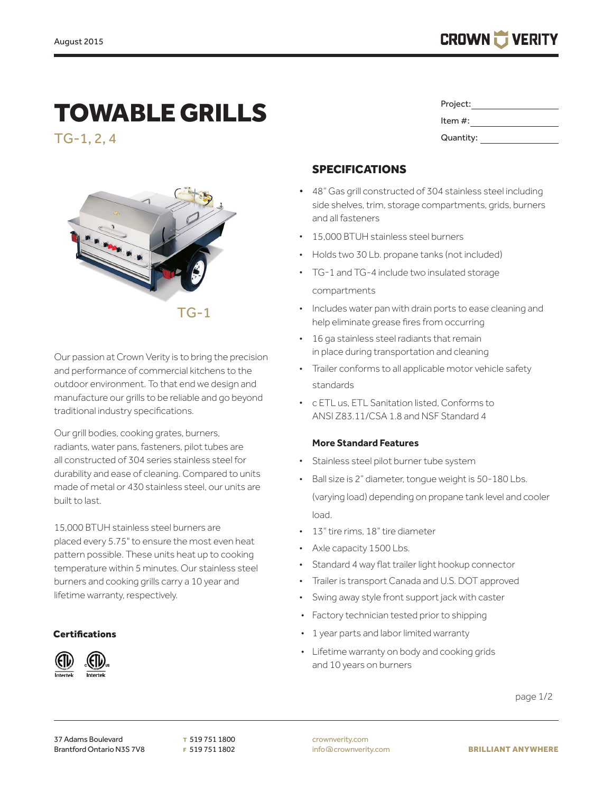# TOWABLE GRILLS

TG-1, 2, 4



Our passion at Crown Verity is to bring the precision and performance of commercial kitchens to the outdoor environment. To that end we design and manufacture our grills to be reliable and go beyond traditional industry specifications.

Our grill bodies, cooking grates, burners, radiants, water pans, fasteners, pilot tubes are all constructed of 304 series stainless steel for durability and ease of cleaning. Compared to units made of metal or 430 stainless steel, our units are built to last.

15,000 BTUH stainless steel burners are placed every 5.75" to ensure the most even heat pattern possible. These units heat up to cooking temperature within 5 minutes. Our stainless steel burners and cooking grills carry a 10 year and lifetime warranty, respectively.

#### **Certifications**



| Project:   |  |
|------------|--|
| Item $#$ : |  |
| Quantity:  |  |

## SPECIFICATIONS

- 48" Gas grill constructed of 304 stainless steel including side shelves, trim, storage compartments, grids, burners and all fasteners
- 15,000 BTUH stainless steel burners
- Holds two 30 Lb. propane tanks (not included)
- TG-1 and TG-4 include two insulated storage compartments
- Includes water pan with drain ports to ease cleaning and help eliminate grease fires from occurring
- 16 ga stainless steel radiants that remain in place during transportation and cleaning
- Trailer conforms to all applicable motor vehicle safety standards
- c ETL us, ETL Sanitation listed, Conforms to ANSI Z83.11/CSA 1.8 and NSF Standard 4

#### **More Standard Features**

- Stainless steel pilot burner tube system
- Ball size is 2" diameter, tongue weight is 50-180 Lbs. (varying load) depending on propane tank level and cooler load.
- 13" tire rims, 18" tire diameter
- Axle capacity 1500 Lbs.
- Standard 4 way flat trailer light hookup connector
- Trailer is transport Canada and U.S. DOT approved
- Swing away style front support jack with caster
- Factory technician tested prior to shipping
- 1 year parts and labor limited warranty
- Lifetime warranty on body and cooking grids and 10 years on burners

page 1/2

crownverity.com